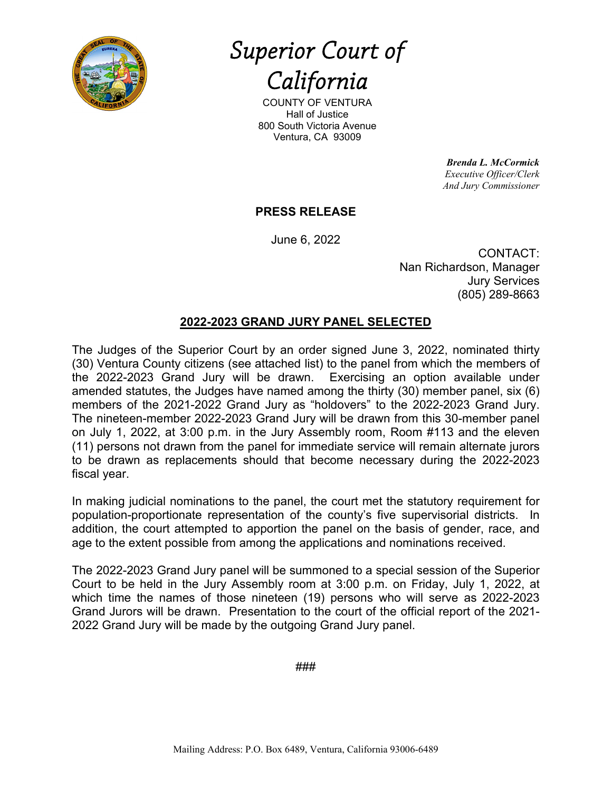

*Superior Court of California* 

COUNTY OF VENTURA Hall of Justice 800 South Victoria Avenue Ventura, CA 93009

> *Brenda L. McCormick Executive Officer/Clerk And Jury Commissioner*

# **PRESS RELEASE**

June 6, 2022

CONTACT: Nan Richardson, Manager Jury Services (805) 289-8663

#### **2022-2023 GRAND JURY PANEL SELECTED**

The Judges of the Superior Court by an order signed June 3, 2022, nominated thirty (30) Ventura County citizens (see attached list) to the panel from which the members of the 2022-2023 Grand Jury will be drawn. Exercising an option available under amended statutes, the Judges have named among the thirty (30) member panel, six (6) members of the 2021-2022 Grand Jury as "holdovers" to the 2022-2023 Grand Jury. The nineteen-member 2022-2023 Grand Jury will be drawn from this 30-member panel on July 1, 2022, at 3:00 p.m. in the Jury Assembly room, Room #113 and the eleven (11) persons not drawn from the panel for immediate service will remain alternate jurors to be drawn as replacements should that become necessary during the 2022-2023 fiscal year.

In making judicial nominations to the panel, the court met the statutory requirement for population-proportionate representation of the county's five supervisorial districts. In addition, the court attempted to apportion the panel on the basis of gender, race, and age to the extent possible from among the applications and nominations received.

The 2022-2023 Grand Jury panel will be summoned to a special session of the Superior Court to be held in the Jury Assembly room at 3:00 p.m. on Friday, July 1, 2022, at which time the names of those nineteen (19) persons who will serve as 2022-2023 Grand Jurors will be drawn. Presentation to the court of the official report of the 2021- 2022 Grand Jury will be made by the outgoing Grand Jury panel.

###